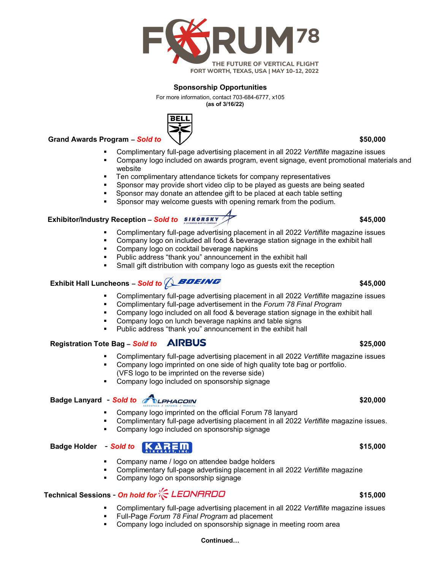

### **Sponsorship Opportunities**

For more information, contact 703-684-6777, x105  **(as of 3/16/22)**



 **Grand Awards Program –** *Sold to* **\$50,000**

- Complimentary full-page advertising placement in all 2022 *Vertiflite* magazine issues
- Company logo included on awards program, event signage, event promotional materials and website
- Ten complimentary attendance tickets for company representatives
- Sponsor may provide short video clip to be played as guests are being seated
- Sponsor may donate an attendee gift to be placed at each table setting
- Sponsor may welcome guests with opening remark from the podium.

### **Exhibitor/Industry Reception – Sold to \$45,000 \$45,000**

- Complimentary full-page advertising placement in all 2022 *Vertiflite* magazine issues
- Company logo on included all food & beverage station signage in the exhibit hall
- **Company logo on cocktail beverage napkins**
- Public address "thank you" announcement in the exhibit hall
- Small gift distribution with company logo as guests exit the reception

# **Exhibit Hall Luncheons –** *Sold to* **\$45,000**

- Complimentary full-page advertising placement in all 2022 *Vertiflite* magazine issues
- Complimentary full-page advertisement in the *Forum 78 Final Program*
- Company logo included on all food & beverage station signage in the exhibit hall
- Company logo on lunch beverage napkins and table signs
- Public address "thank you" announcement in the exhibit hall

### **Registration Tote Bag –** *Sold to* **\$25,000**

- Complimentary full-page advertising placement in all 2022 *Vertiflite* magazine issues
- Company logo imprinted on one side of high quality tote bag or portfolio. (VFS logo to be imprinted on the reverse side)
- Company logo included on sponsorship signage

## **Badge Lanyard** - *Sold to* **ALPHACOIN**

- Company logo imprinted on the official Forum 78 lanyard
- Complimentary full-page advertising placement in all 2022 *Vertiflite* magazine issues.
- Company logo included on sponsorship signage

### **Badge Holder**  $-$  *Sold to* **AREM**

- Company name / logo on attendee badge holders
	- Complimentary full-page advertising placement in all 2022 *Vertiflite* magazine
- Company logo on sponsorship signage

# **Technical Sessions** - *On hold for* **\$15,000**

- Complimentary full-page advertising placement in all 2022 *Vertiflite* magazine issues
- Full-Page *Forum 78 Final Program* ad placement
- Company logo included on sponsorship signage in meeting room area

### **Continued…**